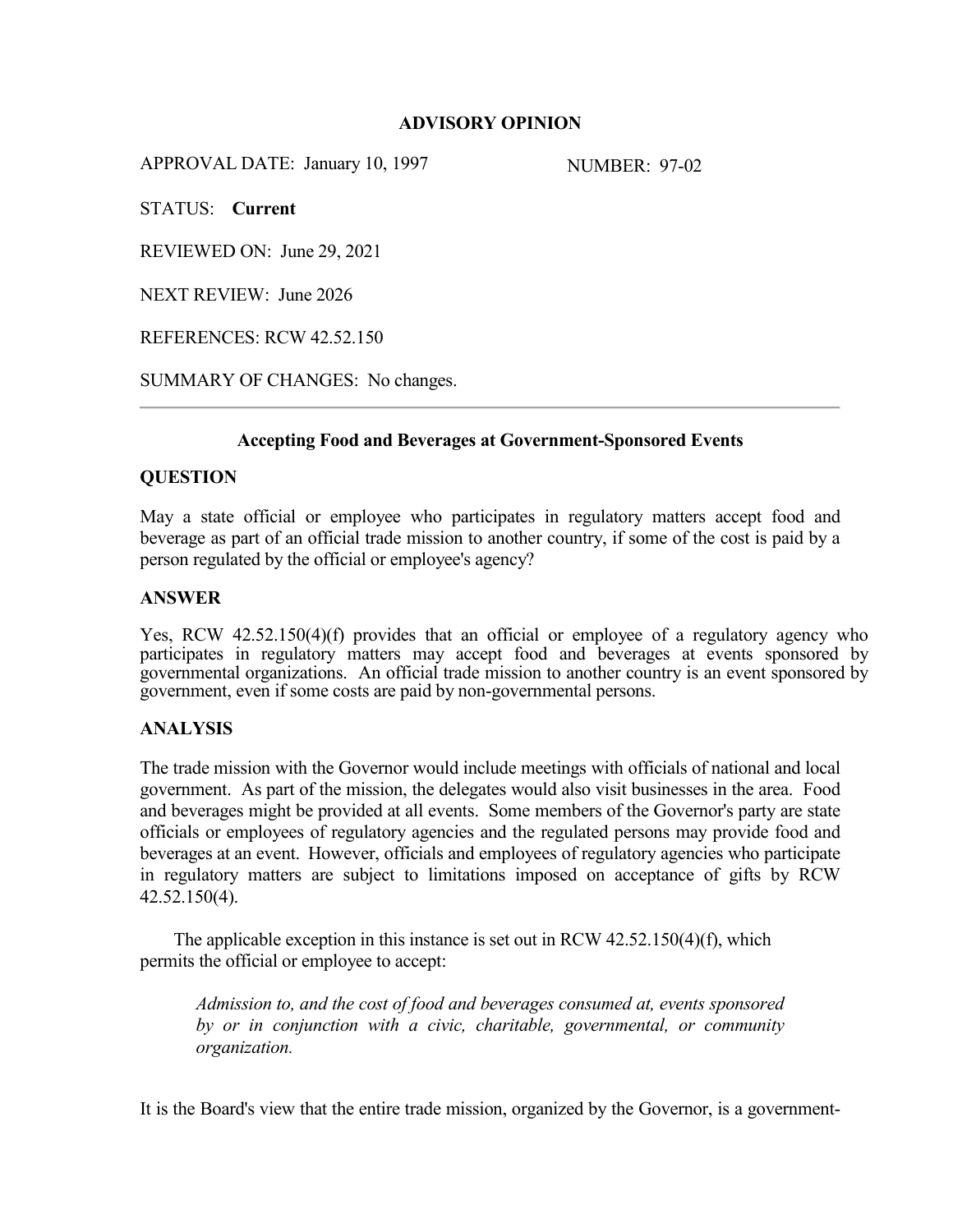# **ADVISORY OPINION**

APPROVAL DATE: January 10, 1997 NUMBER: 97-02

STATUS: **Current**

REVIEWED ON: June 29, 2021

NEXT REVIEW: June 2026

REFERENCES: RCW 42.52.150

SUMMARY OF CHANGES: No changes.

### **Accepting Food and Beverages at Government-Sponsored Events**

### **QUESTION**

May a state official or employee who participates in regulatory matters accept food and beverage as part of an official trade mission to another country, if some of the cost is paid by a person regulated by the official or employee's agency?

### **ANSWER**

Yes, RCW 42.52.150(4)(f) provides that an official or employee of a regulatory agency who participates in regulatory matters may accept food and beverages at events sponsored by governmental organizations. An official trade mission to another country is an event sponsored by government, even if some costs are paid by non-governmental persons.

# **ANALYSIS**

The trade mission with the Governor would include meetings with officials of national and local government. As part of the mission, the delegates would also visit businesses in the area. Food and beverages might be provided at all events. Some members of the Governor's party are state officials or employees of regulatory agencies and the regulated persons may provide food and beverages at an event. However, officials and employees of regulatory agencies who participate in regulatory matters are subject to limitations imposed on acceptance of gifts by RCW 42.52.150(4).

The applicable exception in this instance is set out in RCW 42.52.150(4)(f), which permits the official or employee to accept:

*Admission to, and the cost of food and beverages consumed at, events sponsored by or in conjunction with a civic, charitable, governmental, or community organization.*

It is the Board's view that the entire trade mission, organized by the Governor, is a government-